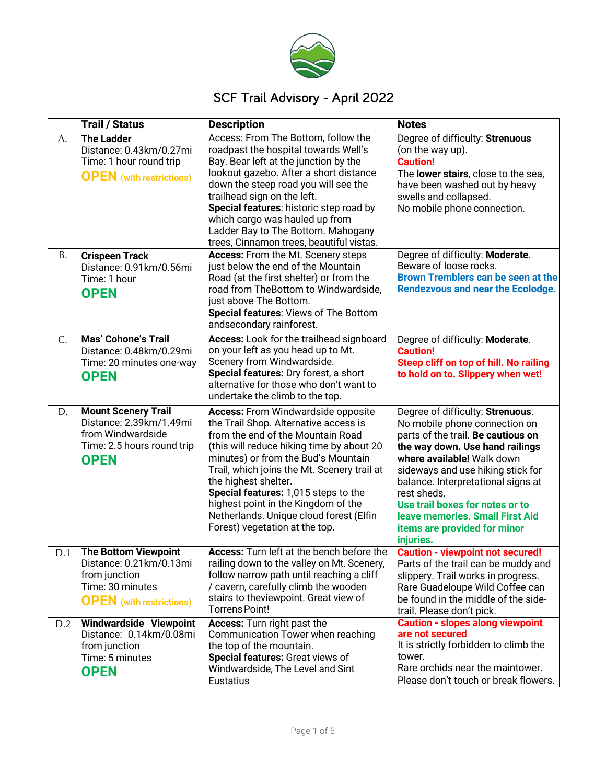

# SCF Trail Advisory - April 2022

|           | <b>Trail / Status</b>                                                                                                          | <b>Description</b>                                                                                                                                                                                                                                                                                                                                                                                                                             | <b>Notes</b>                                                                                                                                                                                                                                                                                                                                                                          |
|-----------|--------------------------------------------------------------------------------------------------------------------------------|------------------------------------------------------------------------------------------------------------------------------------------------------------------------------------------------------------------------------------------------------------------------------------------------------------------------------------------------------------------------------------------------------------------------------------------------|---------------------------------------------------------------------------------------------------------------------------------------------------------------------------------------------------------------------------------------------------------------------------------------------------------------------------------------------------------------------------------------|
| А.        | <b>The Ladder</b><br>Distance: 0.43km/0.27mi<br>Time: 1 hour round trip<br><b>OPEN</b> (with restrictions)                     | Access: From The Bottom, follow the<br>roadpast the hospital towards Well's<br>Bay. Bear left at the junction by the<br>lookout gazebo. After a short distance<br>down the steep road you will see the<br>trailhead sign on the left.<br>Special features: historic step road by<br>which cargo was hauled up from<br>Ladder Bay to The Bottom. Mahogany<br>trees, Cinnamon trees, beautiful vistas.                                           | Degree of difficulty: Strenuous<br>(on the way up).<br><b>Caution!</b><br>The lower stairs, close to the sea,<br>have been washed out by heavy<br>swells and collapsed.<br>No mobile phone connection.                                                                                                                                                                                |
| <b>B.</b> | <b>Crispeen Track</b><br>Distance: 0.91km/0.56mi<br>Time: 1 hour<br><b>OPEN</b>                                                | Access: From the Mt. Scenery steps<br>just below the end of the Mountain<br>Road (at the first shelter) or from the<br>road from TheBottom to Windwardside,<br>just above The Bottom.<br>Special features: Views of The Bottom<br>andsecondary rainforest.                                                                                                                                                                                     | Degree of difficulty: Moderate.<br>Beware of loose rocks.<br>Brown Tremblers can be seen at the<br><b>Rendezvous and near the Ecolodge.</b>                                                                                                                                                                                                                                           |
| C.        | <b>Mas' Cohone's Trail</b><br>Distance: 0.48km/0.29mi<br>Time: 20 minutes one-way<br><b>OPEN</b>                               | Access: Look for the trailhead signboard<br>on your left as you head up to Mt.<br>Scenery from Windwardside.<br>Special features: Dry forest, a short<br>alternative for those who don't want to<br>undertake the climb to the top.                                                                                                                                                                                                            | Degree of difficulty: Moderate.<br><b>Caution!</b><br>Steep cliff on top of hill. No railing<br>to hold on to. Slippery when wet!                                                                                                                                                                                                                                                     |
| D.        | <b>Mount Scenery Trail</b><br>Distance: 2.39km/1.49mi<br>from Windwardside<br>Time: 2.5 hours round trip<br><b>OPEN</b>        | <b>Access:</b> From Windwardside opposite<br>the Trail Shop. Alternative access is<br>from the end of the Mountain Road<br>(this will reduce hiking time by about 20<br>minutes) or from the Bud's Mountain<br>Trail, which joins the Mt. Scenery trail at<br>the highest shelter.<br>Special features: 1,015 steps to the<br>highest point in the Kingdom of the<br>Netherlands. Unique cloud forest (Elfin<br>Forest) vegetation at the top. | Degree of difficulty: Strenuous.<br>No mobile phone connection on<br>parts of the trail. Be cautious on<br>the way down. Use hand railings<br>where available! Walk down<br>sideways and use hiking stick for<br>balance. Interpretational signs at<br>rest sheds.<br>Use trail boxes for notes or to<br>leave memories. Small First Aid<br>items are provided for minor<br>injuries. |
| D.1       | <b>The Bottom Viewpoint</b><br>Distance: 0.21km/0.13mi<br>from junction<br>Time: 30 minutes<br><b>OPEN</b> (with restrictions) | Access: Turn left at the bench before the<br>railing down to the valley on Mt. Scenery,<br>follow narrow path until reaching a cliff<br>/ cavern, carefully climb the wooden<br>stairs to theviewpoint. Great view of<br><b>Torrens Point!</b>                                                                                                                                                                                                 | <b>Caution - viewpoint not secured!</b><br>Parts of the trail can be muddy and<br>slippery. Trail works in progress.<br>Rare Guadeloupe Wild Coffee can<br>be found in the middle of the side-<br>trail. Please don't pick.                                                                                                                                                           |
| D.2       | Windwardside Viewpoint<br>Distance: 0.14km/0.08mi<br>from junction<br>Time: 5 minutes<br><b>OPEN</b>                           | Access: Turn right past the<br>Communication Tower when reaching<br>the top of the mountain.<br>Special features: Great views of<br>Windwardside, The Level and Sint<br>Eustatius                                                                                                                                                                                                                                                              | <b>Caution - slopes along viewpoint</b><br>are not secured<br>It is strictly forbidden to climb the<br>tower.<br>Rare orchids near the maintower.<br>Please don't touch or break flowers.                                                                                                                                                                                             |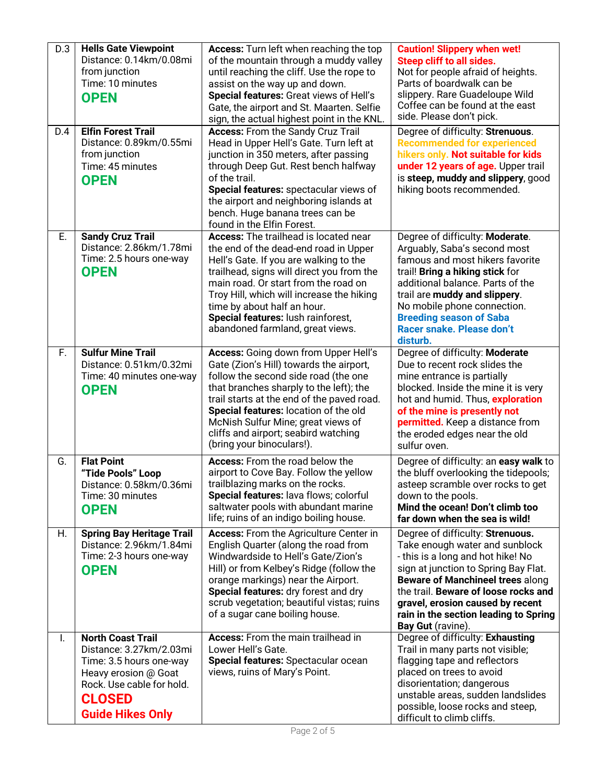| D.3<br>D.4 | <b>Hells Gate Viewpoint</b><br>Distance: 0.14km/0.08mi<br>from junction<br>Time: 10 minutes<br><b>OPEN</b><br><b>Elfin Forest Trail</b>                                         | <b>Access:</b> Turn left when reaching the top<br>of the mountain through a muddy valley<br>until reaching the cliff. Use the rope to<br>assist on the way up and down.<br>Special features: Great views of Hell's<br>Gate, the airport and St. Maarten. Selfie<br>sign, the actual highest point in the KNL.<br><b>Access:</b> From the Sandy Cruz Trail                   | <b>Caution! Slippery when wet!</b><br><b>Steep cliff to all sides.</b><br>Not for people afraid of heights.<br>Parts of boardwalk can be<br>slippery. Rare Guadeloupe Wild<br>Coffee can be found at the east<br>side. Please don't pick.<br>Degree of difficulty: Strenuous.                                                        |
|------------|---------------------------------------------------------------------------------------------------------------------------------------------------------------------------------|-----------------------------------------------------------------------------------------------------------------------------------------------------------------------------------------------------------------------------------------------------------------------------------------------------------------------------------------------------------------------------|--------------------------------------------------------------------------------------------------------------------------------------------------------------------------------------------------------------------------------------------------------------------------------------------------------------------------------------|
|            | Distance: 0.89km/0.55mi<br>from junction<br>Time: 45 minutes<br><b>OPEN</b>                                                                                                     | Head in Upper Hell's Gate. Turn left at<br>junction in 350 meters, after passing<br>through Deep Gut. Rest bench halfway<br>of the trail.<br>Special features: spectacular views of<br>the airport and neighboring islands at<br>bench. Huge banana trees can be<br>found in the Elfin Forest.                                                                              | <b>Recommended for experienced</b><br>hikers only. Not suitable for kids<br>under 12 years of age. Upper trail<br>is steep, muddy and slippery, good<br>hiking boots recommended.                                                                                                                                                    |
| E.         | <b>Sandy Cruz Trail</b><br>Distance: 2.86km/1.78mi<br>Time: 2.5 hours one-way<br><b>OPEN</b>                                                                                    | <b>Access:</b> The trailhead is located near<br>the end of the dead-end road in Upper<br>Hell's Gate. If you are walking to the<br>trailhead, signs will direct you from the<br>main road. Or start from the road on<br>Troy Hill, which will increase the hiking<br>time by about half an hour.<br>Special features: lush rainforest,<br>abandoned farmland, great views.  | Degree of difficulty: Moderate.<br>Arguably, Saba's second most<br>famous and most hikers favorite<br>trail! Bring a hiking stick for<br>additional balance. Parts of the<br>trail are muddy and slippery.<br>No mobile phone connection.<br><b>Breeding season of Saba</b><br>Racer snake. Please don't<br>disturb.                 |
| F.         | <b>Sulfur Mine Trail</b><br>Distance: 0.51km/0.32mi<br>Time: 40 minutes one-way<br><b>OPEN</b>                                                                                  | <b>Access:</b> Going down from Upper Hell's<br>Gate (Zion's Hill) towards the airport,<br>follow the second side road (the one<br>that branches sharply to the left); the<br>trail starts at the end of the paved road.<br>Special features: location of the old<br>McNish Sulfur Mine; great views of<br>cliffs and airport; seabird watching<br>(bring your binoculars!). | Degree of difficulty: Moderate<br>Due to recent rock slides the<br>mine entrance is partially<br>blocked. Inside the mine it is very<br>hot and humid. Thus, exploration<br>of the mine is presently not<br>permitted. Keep a distance from<br>the eroded edges near the old<br>sulfur oven.                                         |
| G.         | <b>Flat Point</b><br>"Tide Pools" Loop<br>Distance: 0.58km/0.36mi<br>Time: 30 minutes<br><b>OPEN</b>                                                                            | Access: From the road below the<br>airport to Cove Bay. Follow the yellow<br>trailblazing marks on the rocks.<br>Special features: lava flows; colorful<br>saltwater pools with abundant marine<br>life; ruins of an indigo boiling house.                                                                                                                                  | Degree of difficulty: an easy walk to<br>the bluff overlooking the tidepools;<br>asteep scramble over rocks to get<br>down to the pools.<br>Mind the ocean! Don't climb too<br>far down when the sea is wild!                                                                                                                        |
| Η.         | <b>Spring Bay Heritage Trail</b><br>Distance: 2.96km/1.84mi<br>Time: 2-3 hours one-way<br><b>OPEN</b>                                                                           | <b>Access:</b> From the Agriculture Center in<br>English Quarter (along the road from<br>Windwardside to Hell's Gate/Zion's<br>Hill) or from Kelbey's Ridge (follow the<br>orange markings) near the Airport.<br>Special features: dry forest and dry<br>scrub vegetation; beautiful vistas; ruins<br>of a sugar cane boiling house.                                        | Degree of difficulty: Strenuous.<br>Take enough water and sunblock<br>- this is a long and hot hike! No<br>sign at junction to Spring Bay Flat.<br><b>Beware of Manchineel trees along</b><br>the trail. Beware of loose rocks and<br>gravel, erosion caused by recent<br>rain in the section leading to Spring<br>Bay Gut (ravine). |
| I.         | <b>North Coast Trail</b><br>Distance: 3.27km/2.03mi<br>Time: 3.5 hours one-way<br>Heavy erosion @ Goat<br>Rock. Use cable for hold.<br><b>CLOSED</b><br><b>Guide Hikes Only</b> | <b>Access:</b> From the main trailhead in<br>Lower Hell's Gate.<br>Special features: Spectacular ocean<br>views, ruins of Mary's Point.                                                                                                                                                                                                                                     | Degree of difficulty: Exhausting<br>Trail in many parts not visible;<br>flagging tape and reflectors<br>placed on trees to avoid<br>disorientation; dangerous<br>unstable areas, sudden landslides<br>possible, loose rocks and steep,<br>difficult to climb cliffs.                                                                 |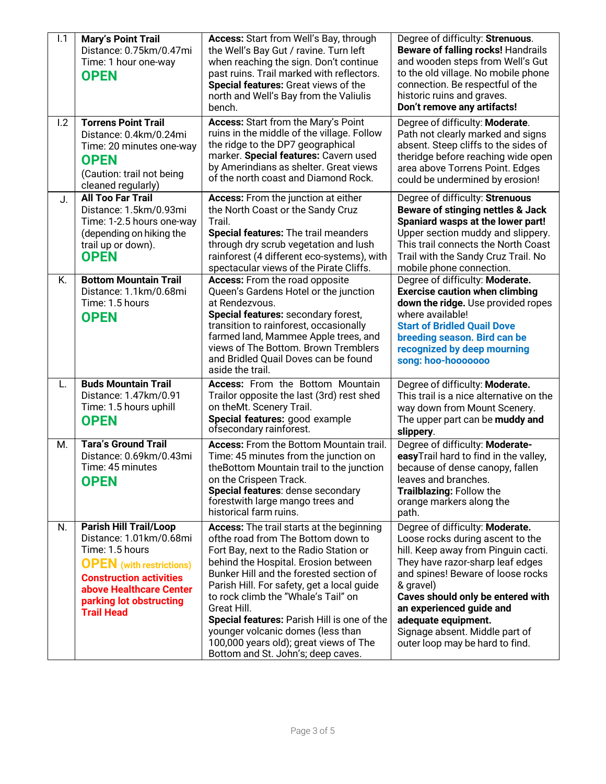| 1.1 | <b>Mary's Point Trail</b><br>Distance: 0.75km/0.47mi<br>Time: 1 hour one-way<br><b>OPEN</b>                                                                                                                          | Access: Start from Well's Bay, through<br>the Well's Bay Gut / ravine. Turn left<br>when reaching the sign. Don't continue<br>past ruins. Trail marked with reflectors.<br>Special features: Great views of the<br>north and Well's Bay from the Valiulis<br>bench.                                                                                                                                                                                                                         | Degree of difficulty: Strenuous.<br><b>Beware of falling rocks! Handrails</b><br>and wooden steps from Well's Gut<br>to the old village. No mobile phone<br>connection. Be respectful of the<br>historic ruins and graves.<br>Don't remove any artifacts!                                                                                                     |
|-----|----------------------------------------------------------------------------------------------------------------------------------------------------------------------------------------------------------------------|---------------------------------------------------------------------------------------------------------------------------------------------------------------------------------------------------------------------------------------------------------------------------------------------------------------------------------------------------------------------------------------------------------------------------------------------------------------------------------------------|---------------------------------------------------------------------------------------------------------------------------------------------------------------------------------------------------------------------------------------------------------------------------------------------------------------------------------------------------------------|
| 1.2 | <b>Torrens Point Trail</b><br>Distance: 0.4km/0.24mi<br>Time: 20 minutes one-way<br><b>OPEN</b><br>(Caution: trail not being<br>cleaned regularly)                                                                   | <b>Access: Start from the Mary's Point</b><br>ruins in the middle of the village. Follow<br>the ridge to the DP7 geographical<br>marker. Special features: Cavern used<br>by Amerindians as shelter. Great views<br>of the north coast and Diamond Rock.                                                                                                                                                                                                                                    | Degree of difficulty: Moderate.<br>Path not clearly marked and signs<br>absent. Steep cliffs to the sides of<br>theridge before reaching wide open<br>area above Torrens Point. Edges<br>could be undermined by erosion!                                                                                                                                      |
| J.  | <b>All Too Far Trail</b><br>Distance: 1.5km/0.93mi<br>Time: 1-2.5 hours one-way<br>(depending on hiking the<br>trail up or down).<br><b>OPEN</b>                                                                     | Access: From the junction at either<br>the North Coast or the Sandy Cruz<br>Trail.<br>Special features: The trail meanders<br>through dry scrub vegetation and lush<br>rainforest (4 different eco-systems), with<br>spectacular views of the Pirate Cliffs.                                                                                                                                                                                                                                | Degree of difficulty: Strenuous<br>Beware of stinging nettles & Jack<br>Spaniard wasps at the lower part!<br>Upper section muddy and slippery.<br>This trail connects the North Coast<br>Trail with the Sandy Cruz Trail. No<br>mobile phone connection.                                                                                                      |
| K.  | <b>Bottom Mountain Trail</b><br>Distance: 1.1km/0.68mi<br>Time: 1.5 hours<br><b>OPEN</b>                                                                                                                             | <b>Access:</b> From the road opposite<br>Queen's Gardens Hotel or the junction<br>at Rendezvous.<br>Special features: secondary forest,<br>transition to rainforest, occasionally<br>farmed land, Mammee Apple trees, and<br>views of The Bottom. Brown Tremblers<br>and Bridled Quail Doves can be found<br>aside the trail.                                                                                                                                                               | Degree of difficulty: Moderate.<br><b>Exercise caution when climbing</b><br>down the ridge. Use provided ropes<br>where available!<br><b>Start of Bridled Quail Dove</b><br>breeding season. Bird can be<br>recognized by deep mourning<br>song: hoo-hooooooo                                                                                                 |
| L.  | <b>Buds Mountain Trail</b><br>Distance: 1.47km/0.91<br>Time: 1.5 hours uphill<br><b>OPEN</b>                                                                                                                         | <b>Access:</b> From the Bottom Mountain<br>Trailor opposite the last (3rd) rest shed<br>on theMt. Scenery Trail.<br>Special features: good example<br>ofsecondary rainforest.                                                                                                                                                                                                                                                                                                               | Degree of difficulty: Moderate.<br>This trail is a nice alternative on the<br>way down from Mount Scenery.<br>The upper part can be muddy and<br>slippery.                                                                                                                                                                                                    |
| M.  | <b>Tara's Ground Trail</b><br>Distance: 0.69km/0.43mi<br>Time: 45 minutes<br><b>OPEN</b>                                                                                                                             | <b>Access:</b> From the Bottom Mountain trail.<br>Time: 45 minutes from the junction on<br>the Bottom Mountain trail to the junction<br>on the Crispeen Track.<br>Special features: dense secondary<br>forestwith large mango trees and<br>historical farm ruins.                                                                                                                                                                                                                           | Degree of difficulty: Moderate-<br>easyTrail hard to find in the valley,<br>because of dense canopy, fallen<br>leaves and branches.<br>Trailblazing: Follow the<br>orange markers along the<br>path.                                                                                                                                                          |
| N.  | Parish Hill Trail/Loop<br>Distance: 1.01km/0.68mi<br>Time: 1.5 hours<br><b>OPEN</b> (with restrictions)<br><b>Construction activities</b><br>above Healthcare Center<br>parking lot obstructing<br><b>Trail Head</b> | <b>Access:</b> The trail starts at the beginning<br>ofthe road from The Bottom down to<br>Fort Bay, next to the Radio Station or<br>behind the Hospital. Erosion between<br>Bunker Hill and the forested section of<br>Parish Hill. For safety, get a local guide<br>to rock climb the "Whale's Tail" on<br>Great Hill.<br>Special features: Parish Hill is one of the<br>younger volcanic domes (less than<br>100,000 years old); great views of The<br>Bottom and St. John's; deep caves. | Degree of difficulty: Moderate.<br>Loose rocks during ascent to the<br>hill. Keep away from Pinguin cacti.<br>They have razor-sharp leaf edges<br>and spines! Beware of loose rocks<br>& gravel)<br>Caves should only be entered with<br>an experienced guide and<br>adequate equipment.<br>Signage absent. Middle part of<br>outer loop may be hard to find. |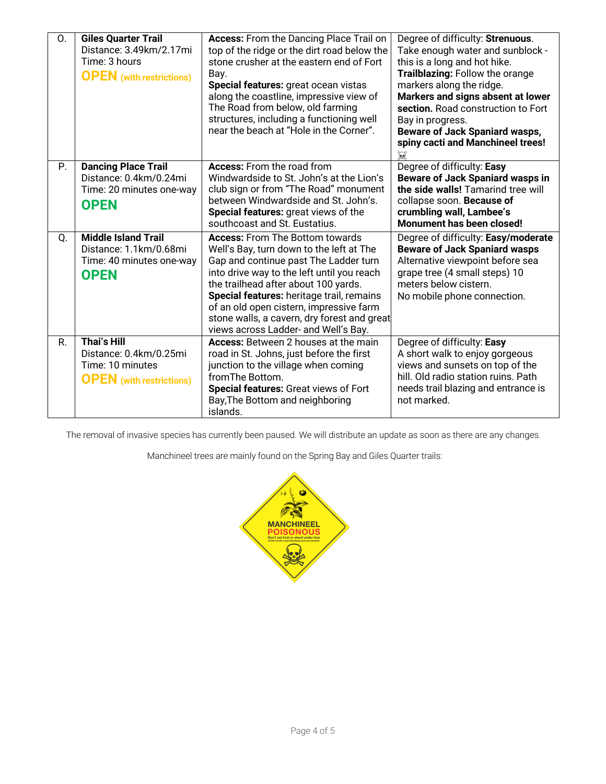| 0. | <b>Giles Quarter Trail</b><br>Distance: 3.49km/2.17mi<br>Time: 3 hours<br><b>OPEN</b> (with restrictions) | <b>Access:</b> From the Dancing Place Trail on<br>top of the ridge or the dirt road below the<br>stone crusher at the eastern end of Fort<br>Bay.<br>Special features: great ocean vistas<br>along the coastline, impressive view of<br>The Road from below, old farming<br>structures, including a functioning well<br>near the beach at "Hole in the Corner".                                  | Degree of difficulty: Strenuous.<br>Take enough water and sunblock -<br>this is a long and hot hike.<br>Trailblazing: Follow the orange<br>markers along the ridge.<br>Markers and signs absent at lower<br>section. Road construction to Fort<br>Bay in progress.<br><b>Beware of Jack Spaniard wasps,</b><br>spiny cacti and Manchineel trees!<br>$\overleftrightarrow{M}$ |
|----|-----------------------------------------------------------------------------------------------------------|--------------------------------------------------------------------------------------------------------------------------------------------------------------------------------------------------------------------------------------------------------------------------------------------------------------------------------------------------------------------------------------------------|------------------------------------------------------------------------------------------------------------------------------------------------------------------------------------------------------------------------------------------------------------------------------------------------------------------------------------------------------------------------------|
| P. | <b>Dancing Place Trail</b><br>Distance: 0.4km/0.24mi<br>Time: 20 minutes one-way<br><b>OPEN</b>           | <b>Access:</b> From the road from<br>Windwardside to St. John's at the Lion's<br>club sign or from "The Road" monument<br>between Windwardside and St. John's.<br>Special features: great views of the<br>southcoast and St. Eustatius.                                                                                                                                                          | Degree of difficulty: Easy<br><b>Beware of Jack Spaniard wasps in</b><br>the side walls! Tamarind tree will<br>collapse soon. Because of<br>crumbling wall, Lambee's<br><b>Monument has been closed!</b>                                                                                                                                                                     |
| Q. | <b>Middle Island Trail</b><br>Distance: 1.1km/0.68mi<br>Time: 40 minutes one-way<br><b>OPEN</b>           | <b>Access:</b> From The Bottom towards<br>Well's Bay, turn down to the left at The<br>Gap and continue past The Ladder turn<br>into drive way to the left until you reach<br>the trailhead after about 100 yards.<br>Special features: heritage trail, remains<br>of an old open cistern, impressive farm<br>stone walls, a cavern, dry forest and great<br>views across Ladder- and Well's Bay. | Degree of difficulty: Easy/moderate<br><b>Beware of Jack Spaniard wasps</b><br>Alternative viewpoint before sea<br>grape tree (4 small steps) 10<br>meters below cistern.<br>No mobile phone connection.                                                                                                                                                                     |
| R. | <b>Thai's Hill</b><br>Distance: 0.4km/0.25mi<br>Time: 10 minutes<br><b>OPEN</b> (with restrictions)       | Access: Between 2 houses at the main<br>road in St. Johns, just before the first<br>junction to the village when coming<br>from The Bottom.<br>Special features: Great views of Fort<br>Bay, The Bottom and neighboring<br>islands.                                                                                                                                                              | Degree of difficulty: Easy<br>A short walk to enjoy gorgeous<br>views and sunsets on top of the<br>hill. Old radio station ruins. Path<br>needs trail blazing and entrance is<br>not marked.                                                                                                                                                                                 |

The removal of invasive species has currently been paused. We will distribute an update as soon as there are any changes.

Manchineel trees are mainly found on the Spring Bay and Giles Quarter trails: